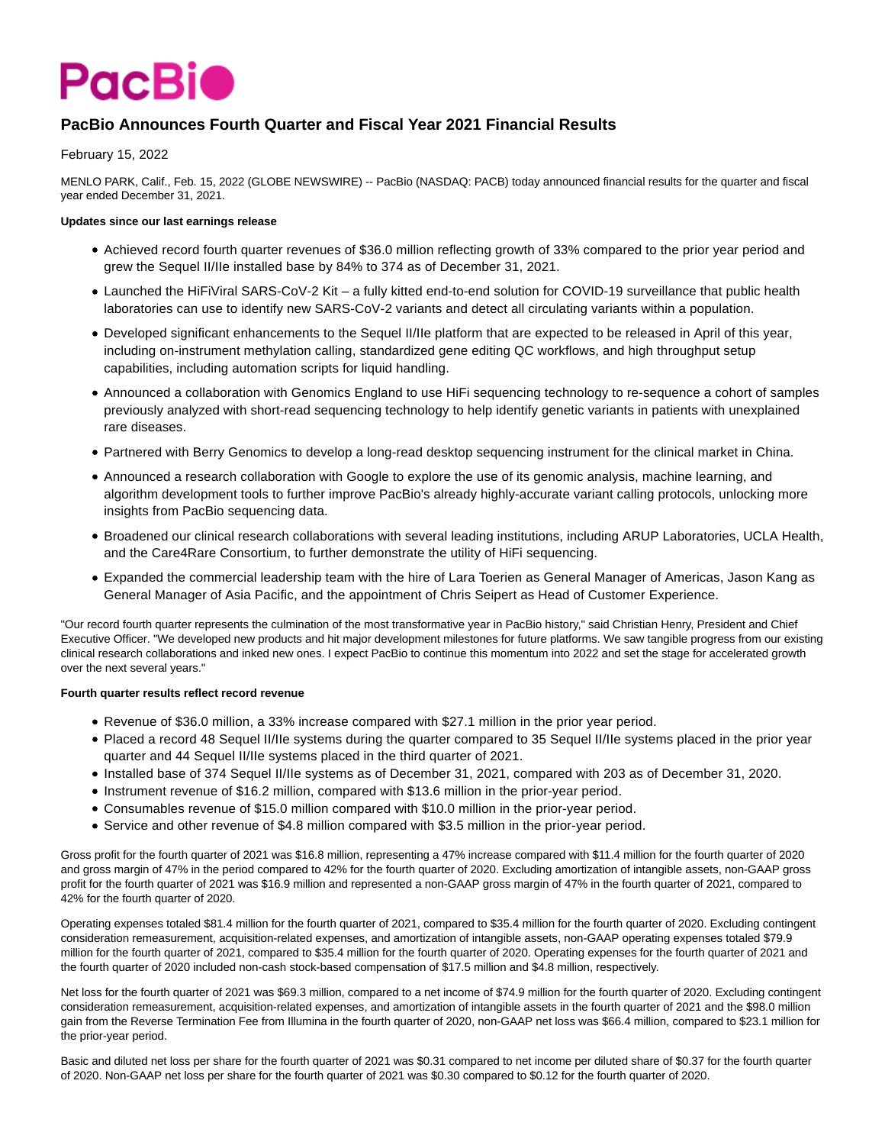

# **PacBio Announces Fourth Quarter and Fiscal Year 2021 Financial Results**

February 15, 2022

MENLO PARK, Calif., Feb. 15, 2022 (GLOBE NEWSWIRE) -- PacBio (NASDAQ: PACB) today announced financial results for the quarter and fiscal year ended December 31, 2021.

# **Updates since our last earnings release**

- Achieved record fourth quarter revenues of \$36.0 million reflecting growth of 33% compared to the prior year period and grew the Sequel II/IIe installed base by 84% to 374 as of December 31, 2021.
- Launched the HiFiViral SARS-CoV-2 Kit a fully kitted end-to-end solution for COVID-19 surveillance that public health laboratories can use to identify new SARS-CoV-2 variants and detect all circulating variants within a population.
- Developed significant enhancements to the Sequel II/IIe platform that are expected to be released in April of this year, including on-instrument methylation calling, standardized gene editing QC workflows, and high throughput setup capabilities, including automation scripts for liquid handling.
- Announced a collaboration with Genomics England to use HiFi sequencing technology to re-sequence a cohort of samples previously analyzed with short-read sequencing technology to help identify genetic variants in patients with unexplained rare diseases.
- Partnered with Berry Genomics to develop a long-read desktop sequencing instrument for the clinical market in China.
- Announced a research collaboration with Google to explore the use of its genomic analysis, machine learning, and algorithm development tools to further improve PacBio's already highly-accurate variant calling protocols, unlocking more insights from PacBio sequencing data.
- Broadened our clinical research collaborations with several leading institutions, including ARUP Laboratories, UCLA Health, and the Care4Rare Consortium, to further demonstrate the utility of HiFi sequencing.
- Expanded the commercial leadership team with the hire of Lara Toerien as General Manager of Americas, Jason Kang as General Manager of Asia Pacific, and the appointment of Chris Seipert as Head of Customer Experience.

"Our record fourth quarter represents the culmination of the most transformative year in PacBio history," said Christian Henry, President and Chief Executive Officer. "We developed new products and hit major development milestones for future platforms. We saw tangible progress from our existing clinical research collaborations and inked new ones. I expect PacBio to continue this momentum into 2022 and set the stage for accelerated growth over the next several years."

### **Fourth quarter results reflect record revenue**

- Revenue of \$36.0 million, a 33% increase compared with \$27.1 million in the prior year period.
- Placed a record 48 Sequel II/IIe systems during the quarter compared to 35 Sequel II/IIe systems placed in the prior year quarter and 44 Sequel II/IIe systems placed in the third quarter of 2021.
- Installed base of 374 Sequel II/IIe systems as of December 31, 2021, compared with 203 as of December 31, 2020.
- Instrument revenue of \$16.2 million, compared with \$13.6 million in the prior-year period.
- Consumables revenue of \$15.0 million compared with \$10.0 million in the prior-year period.
- Service and other revenue of \$4.8 million compared with \$3.5 million in the prior-year period.

Gross profit for the fourth quarter of 2021 was \$16.8 million, representing a 47% increase compared with \$11.4 million for the fourth quarter of 2020 and gross margin of 47% in the period compared to 42% for the fourth quarter of 2020. Excluding amortization of intangible assets, non-GAAP gross profit for the fourth quarter of 2021 was \$16.9 million and represented a non-GAAP gross margin of 47% in the fourth quarter of 2021, compared to 42% for the fourth quarter of 2020.

Operating expenses totaled \$81.4 million for the fourth quarter of 2021, compared to \$35.4 million for the fourth quarter of 2020. Excluding contingent consideration remeasurement, acquisition-related expenses, and amortization of intangible assets, non-GAAP operating expenses totaled \$79.9 million for the fourth quarter of 2021, compared to \$35.4 million for the fourth quarter of 2020. Operating expenses for the fourth quarter of 2021 and the fourth quarter of 2020 included non-cash stock-based compensation of \$17.5 million and \$4.8 million, respectively.

Net loss for the fourth quarter of 2021 was \$69.3 million, compared to a net income of \$74.9 million for the fourth quarter of 2020. Excluding contingent consideration remeasurement, acquisition-related expenses, and amortization of intangible assets in the fourth quarter of 2021 and the \$98.0 million gain from the Reverse Termination Fee from Illumina in the fourth quarter of 2020, non-GAAP net loss was \$66.4 million, compared to \$23.1 million for the prior-year period.

Basic and diluted net loss per share for the fourth quarter of 2021 was \$0.31 compared to net income per diluted share of \$0.37 for the fourth quarter of 2020. Non-GAAP net loss per share for the fourth quarter of 2021 was \$0.30 compared to \$0.12 for the fourth quarter of 2020.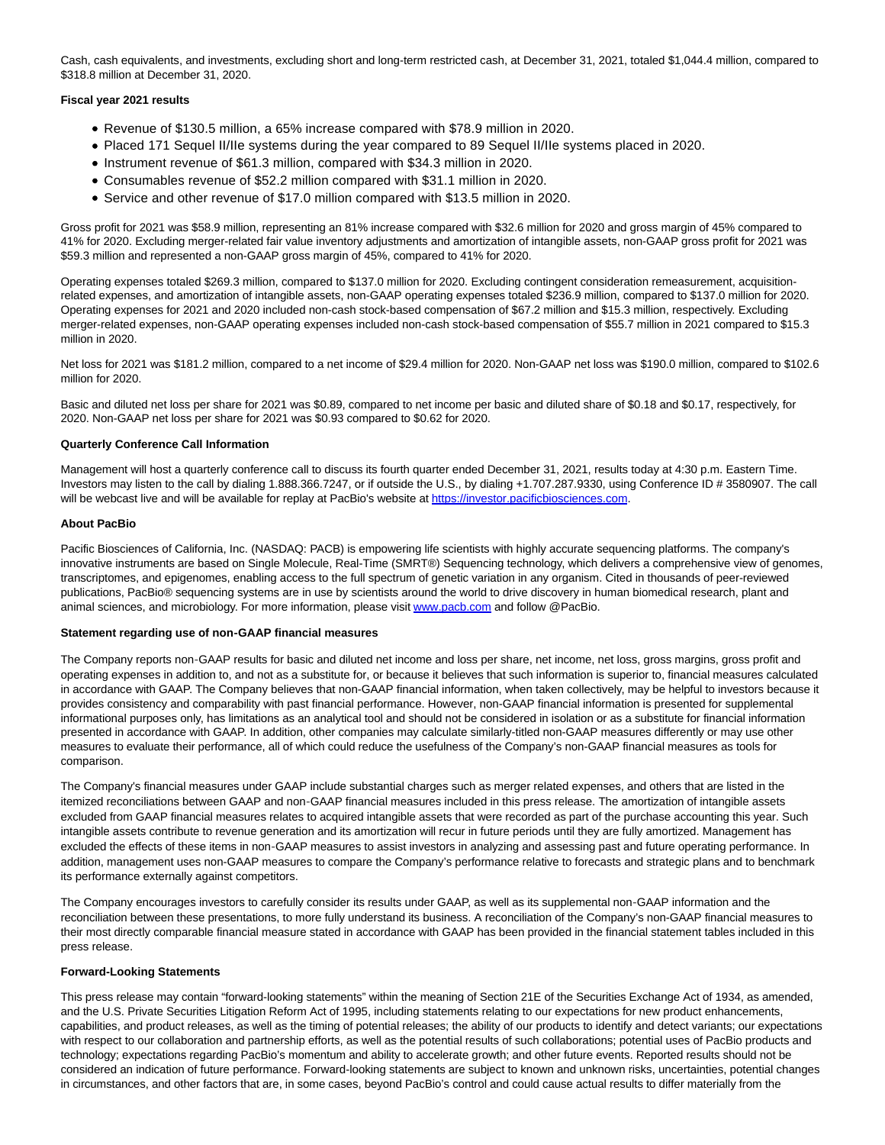Cash, cash equivalents, and investments, excluding short and long-term restricted cash, at December 31, 2021, totaled \$1,044.4 million, compared to \$318.8 million at December 31, 2020.

### **Fiscal year 2021 results**

- Revenue of \$130.5 million, a 65% increase compared with \$78.9 million in 2020.
- Placed 171 Sequel II/IIe systems during the year compared to 89 Sequel II/IIe systems placed in 2020.
- Instrument revenue of \$61.3 million, compared with \$34.3 million in 2020.
- Consumables revenue of \$52.2 million compared with \$31.1 million in 2020.
- Service and other revenue of \$17.0 million compared with \$13.5 million in 2020.

Gross profit for 2021 was \$58.9 million, representing an 81% increase compared with \$32.6 million for 2020 and gross margin of 45% compared to 41% for 2020. Excluding merger-related fair value inventory adjustments and amortization of intangible assets, non-GAAP gross profit for 2021 was \$59.3 million and represented a non-GAAP gross margin of 45%, compared to 41% for 2020.

Operating expenses totaled \$269.3 million, compared to \$137.0 million for 2020. Excluding contingent consideration remeasurement, acquisitionrelated expenses, and amortization of intangible assets, non-GAAP operating expenses totaled \$236.9 million, compared to \$137.0 million for 2020. Operating expenses for 2021 and 2020 included non-cash stock-based compensation of \$67.2 million and \$15.3 million, respectively. Excluding merger-related expenses, non-GAAP operating expenses included non-cash stock-based compensation of \$55.7 million in 2021 compared to \$15.3 million in 2020.

Net loss for 2021 was \$181.2 million, compared to a net income of \$29.4 million for 2020. Non-GAAP net loss was \$190.0 million, compared to \$102.6 million for 2020.

Basic and diluted net loss per share for 2021 was \$0.89, compared to net income per basic and diluted share of \$0.18 and \$0.17, respectively, for 2020. Non-GAAP net loss per share for 2021 was \$0.93 compared to \$0.62 for 2020.

### **Quarterly Conference Call Information**

Management will host a quarterly conference call to discuss its fourth quarter ended December 31, 2021, results today at 4:30 p.m. Eastern Time. Investors may listen to the call by dialing 1.888.366.7247, or if outside the U.S., by dialing +1.707.287.9330, using Conference ID # 3580907. The call will be webcast live and will be available for replay at PacBio's website at [https://investor.pacificbiosciences.com.](https://www.globenewswire.com/Tracker?data=JD55wdbaLIgVuBHcwgri4mBkjcl4uRwunb2EgjlbzqSVfFdGxnW1TZfTbAWHTPvbQ71YuRevDDr6LS17b6y2IN-ugHpqyazc4lJQrBP_rzqjL2B9wIcVTOs9wKkhkAMB7XnJuNtlu1W09j-XO4f86A==)

## **About PacBio**

Pacific Biosciences of California, Inc. (NASDAQ: PACB) is empowering life scientists with highly accurate sequencing platforms. The company's innovative instruments are based on Single Molecule, Real-Time (SMRT®) Sequencing technology, which delivers a comprehensive view of genomes, transcriptomes, and epigenomes, enabling access to the full spectrum of genetic variation in any organism. Cited in thousands of peer-reviewed publications, PacBio® sequencing systems are in use by scientists around the world to drive discovery in human biomedical research, plant and animal sciences, and microbiology. For more information, please visi[t www.pacb.com a](https://www.globenewswire.com/Tracker?data=tYItPxIpeEPm8eX9s6b_gTpajQ1LHLQQHhp74Sd5Td9P9r--6pn7kUHJpwYLto_5QND-jsnOxHna9nq-X-ytwQ==)nd follow @PacBio.

#### **Statement regarding use of non-GAAP financial measures**

The Company reports non-GAAP results for basic and diluted net income and loss per share, net income, net loss, gross margins, gross profit and operating expenses in addition to, and not as a substitute for, or because it believes that such information is superior to, financial measures calculated in accordance with GAAP. The Company believes that non-GAAP financial information, when taken collectively, may be helpful to investors because it provides consistency and comparability with past financial performance. However, non-GAAP financial information is presented for supplemental informational purposes only, has limitations as an analytical tool and should not be considered in isolation or as a substitute for financial information presented in accordance with GAAP. In addition, other companies may calculate similarly-titled non-GAAP measures differently or may use other measures to evaluate their performance, all of which could reduce the usefulness of the Company's non-GAAP financial measures as tools for comparison.

The Company's financial measures under GAAP include substantial charges such as merger related expenses, and others that are listed in the itemized reconciliations between GAAP and non-GAAP financial measures included in this press release. The amortization of intangible assets excluded from GAAP financial measures relates to acquired intangible assets that were recorded as part of the purchase accounting this year. Such intangible assets contribute to revenue generation and its amortization will recur in future periods until they are fully amortized. Management has excluded the effects of these items in non-GAAP measures to assist investors in analyzing and assessing past and future operating performance. In addition, management uses non-GAAP measures to compare the Company's performance relative to forecasts and strategic plans and to benchmark its performance externally against competitors.

The Company encourages investors to carefully consider its results under GAAP, as well as its supplemental non-GAAP information and the reconciliation between these presentations, to more fully understand its business. A reconciliation of the Company's non-GAAP financial measures to their most directly comparable financial measure stated in accordance with GAAP has been provided in the financial statement tables included in this press release.

### **Forward-Looking Statements**

This press release may contain "forward-looking statements" within the meaning of Section 21E of the Securities Exchange Act of 1934, as amended, and the U.S. Private Securities Litigation Reform Act of 1995, including statements relating to our expectations for new product enhancements, capabilities, and product releases, as well as the timing of potential releases; the ability of our products to identify and detect variants; our expectations with respect to our collaboration and partnership efforts, as well as the potential results of such collaborations; potential uses of PacBio products and technology; expectations regarding PacBio's momentum and ability to accelerate growth; and other future events. Reported results should not be considered an indication of future performance. Forward-looking statements are subject to known and unknown risks, uncertainties, potential changes in circumstances, and other factors that are, in some cases, beyond PacBio's control and could cause actual results to differ materially from the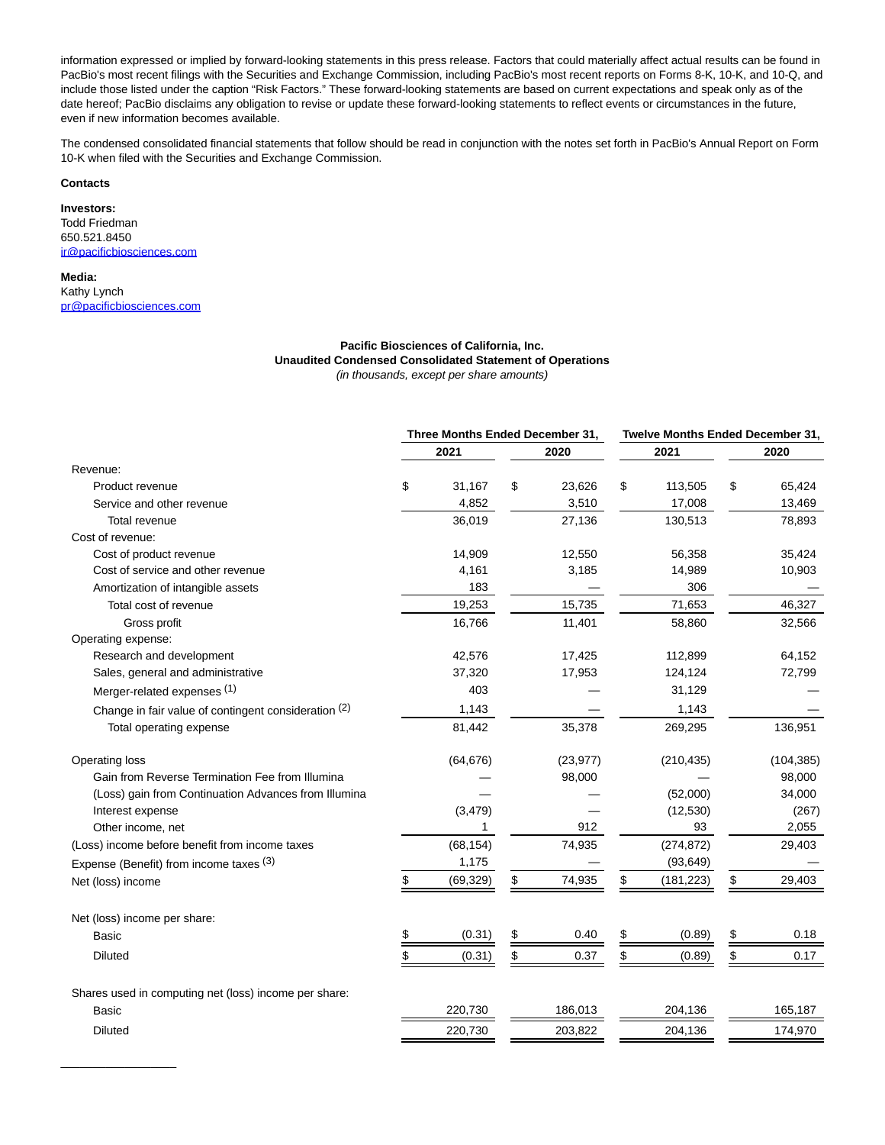information expressed or implied by forward-looking statements in this press release. Factors that could materially affect actual results can be found in PacBio's most recent filings with the Securities and Exchange Commission, including PacBio's most recent reports on Forms 8-K, 10-K, and 10-Q, and include those listed under the caption "Risk Factors." These forward-looking statements are based on current expectations and speak only as of the date hereof; PacBio disclaims any obligation to revise or update these forward-looking statements to reflect events or circumstances in the future, even if new information becomes available.

The condensed consolidated financial statements that follow should be read in conjunction with the notes set forth in PacBio's Annual Report on Form 10-K when filed with the Securities and Exchange Commission.

#### **Contacts**

**Investors:** Todd Friedman 650.521.8450 [ir@pacificbiosciences.com](https://www.globenewswire.com/Tracker?data=J-EZQdBu9JcsO4rWNhiJn7-BfPRpxkrz_iyRQjLmBMicdLaRjFCNHkUAM-Ptfmkgp63C1ov9DeOmlaRN9rzZ0MiXbNVRCs06ZCy9gsn4QAI=)

**Media:** Kathy Lynch [pr@pacificbiosciences.com](https://www.globenewswire.com/Tracker?data=7KgFh9GTuOnpzDrwh6CN-59BxMagg8nuo_leBwPJWcncynxT4a2oUAEo29bNoBtbyWO91LfVPAZWZnsKind5B-Q98WJKp_pA_aEuVM4nSIU5bv5Gj95BQKyyauazoGQ9Fx8Mx4r9GIyCowdgo7tcSh_vcprzPVd4FhZ2c6E-NNy_dpz9_r0AzhzXBl_Thc95zliGDEZH-B1g7kh4IQAJiumN8pGHTPMB4RqtpA6gBdzcyeHwxoK8dzk0Hx3xoNaWtPSMS4g4vtU2LTy-7-YQdBG8gFV_Zkql1dcHO9jPboo=)

 $\mathcal{L}=\mathcal{L}$  , we can also the set of the set of the set of the set of the set of the set of the set of the set of the set of the set of the set of the set of the set of the set of the set of the set of the set of the s

#### **Pacific Biosciences of California, Inc. Unaudited Condensed Consolidated Statement of Operations** (in thousands, except per share amounts)

|                                                       | Three Months Ended December 31, |           |               |           | Twelve Months Ended December 31, |            |      |            |  |
|-------------------------------------------------------|---------------------------------|-----------|---------------|-----------|----------------------------------|------------|------|------------|--|
|                                                       |                                 | 2021      |               | 2020      |                                  | 2021       | 2020 |            |  |
| Revenue:                                              |                                 |           |               |           |                                  |            |      |            |  |
| Product revenue                                       | \$                              | 31,167    | \$            | 23,626    | \$                               | 113,505    | \$   | 65,424     |  |
| Service and other revenue                             |                                 | 4,852     |               | 3,510     |                                  | 17,008     |      | 13,469     |  |
| <b>Total revenue</b>                                  |                                 | 36,019    |               | 27,136    |                                  | 130,513    |      | 78,893     |  |
| Cost of revenue:                                      |                                 |           |               |           |                                  |            |      |            |  |
| Cost of product revenue                               |                                 | 14,909    |               | 12,550    |                                  | 56,358     |      | 35,424     |  |
| Cost of service and other revenue                     |                                 | 4,161     |               | 3,185     |                                  | 14,989     |      | 10,903     |  |
| Amortization of intangible assets                     |                                 | 183       |               |           |                                  | 306        |      |            |  |
| Total cost of revenue                                 |                                 | 19,253    |               | 15,735    |                                  | 71,653     |      | 46,327     |  |
| Gross profit                                          |                                 | 16,766    |               | 11,401    |                                  | 58,860     |      | 32,566     |  |
| Operating expense:                                    |                                 |           |               |           |                                  |            |      |            |  |
| Research and development                              |                                 | 42,576    |               | 17,425    |                                  | 112,899    |      | 64,152     |  |
| Sales, general and administrative                     |                                 | 37,320    |               | 17,953    |                                  | 124,124    |      | 72,799     |  |
| Merger-related expenses (1)                           |                                 | 403       |               |           |                                  | 31,129     |      |            |  |
| Change in fair value of contingent consideration (2)  |                                 | 1,143     |               |           |                                  | 1,143      |      |            |  |
| Total operating expense                               |                                 | 81,442    |               | 35,378    |                                  | 269,295    |      | 136,951    |  |
| Operating loss                                        |                                 | (64, 676) |               | (23, 977) |                                  | (210, 435) |      | (104, 385) |  |
| Gain from Reverse Termination Fee from Illumina       |                                 |           |               | 98,000    |                                  |            |      | 98,000     |  |
| (Loss) gain from Continuation Advances from Illumina  |                                 |           |               |           |                                  | (52,000)   |      | 34,000     |  |
| Interest expense                                      |                                 | (3, 479)  |               |           |                                  | (12, 530)  |      | (267)      |  |
| Other income, net                                     |                                 | 1         |               | 912       |                                  | 93         |      | 2,055      |  |
| (Loss) income before benefit from income taxes        |                                 | (68, 154) |               | 74,935    |                                  | (274, 872) |      | 29,403     |  |
| Expense (Benefit) from income taxes (3)               |                                 | 1,175     |               |           |                                  | (93, 649)  |      |            |  |
| Net (loss) income                                     |                                 | (69, 329) | \$            | 74,935    | \$                               | (181, 223) | \$   | 29,403     |  |
| Net (loss) income per share:                          |                                 |           |               |           |                                  |            |      |            |  |
| <b>Basic</b>                                          |                                 | (0.31)    | $\frac{3}{2}$ | 0.40      | \$                               | (0.89)     | \$   | 0.18       |  |
| <b>Diluted</b>                                        | \$                              | (0.31)    | \$            | 0.37      | \$                               | (0.89)     | \$   | 0.17       |  |
| Shares used in computing net (loss) income per share: |                                 |           |               |           |                                  |            |      |            |  |
| Basic                                                 |                                 | 220,730   |               | 186,013   |                                  | 204,136    |      | 165,187    |  |
| <b>Diluted</b>                                        |                                 | 220,730   |               | 203,822   |                                  | 204,136    |      | 174,970    |  |
|                                                       |                                 |           |               |           |                                  |            |      |            |  |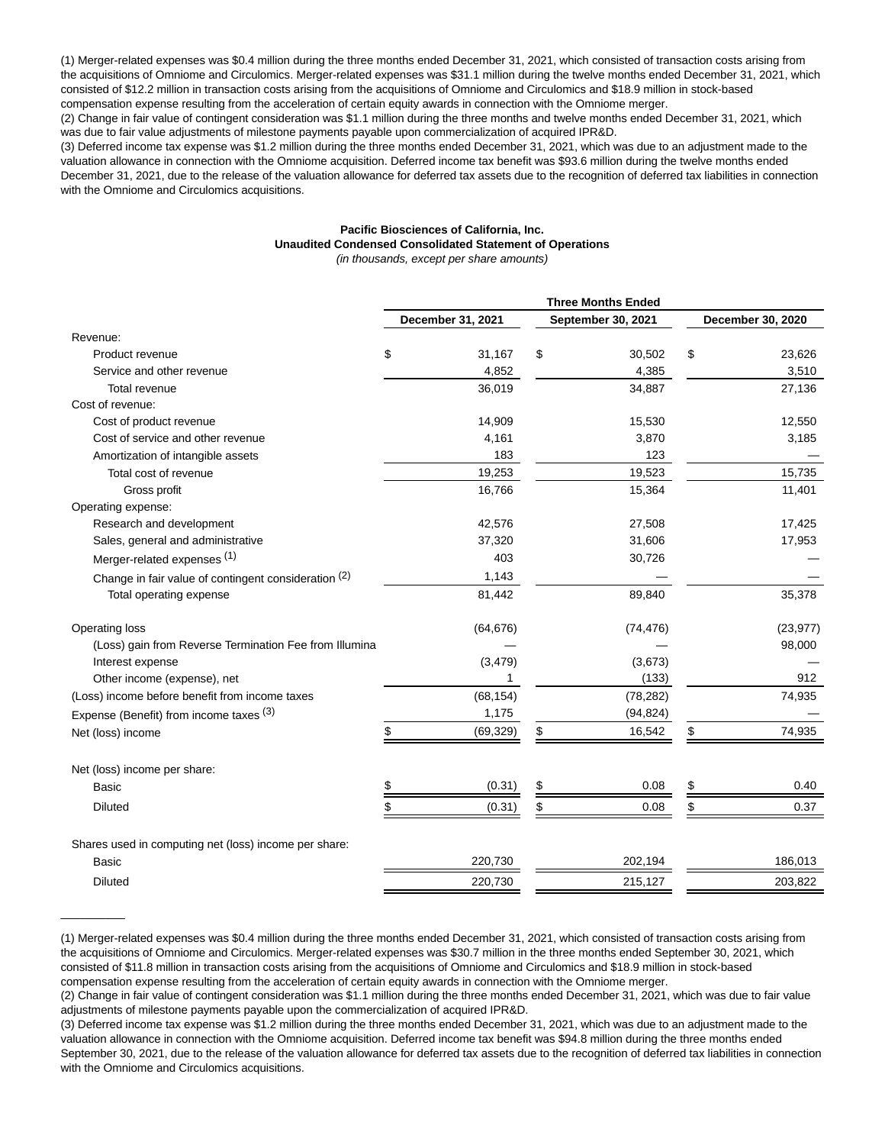(1) Merger-related expenses was \$0.4 million during the three months ended December 31, 2021, which consisted of transaction costs arising from the acquisitions of Omniome and Circulomics. Merger-related expenses was \$31.1 million during the twelve months ended December 31, 2021, which consisted of \$12.2 million in transaction costs arising from the acquisitions of Omniome and Circulomics and \$18.9 million in stock-based compensation expense resulting from the acceleration of certain equity awards in connection with the Omniome merger.

(2) Change in fair value of contingent consideration was \$1.1 million during the three months and twelve months ended December 31, 2021, which was due to fair value adjustments of milestone payments payable upon commercialization of acquired IPR&D.

(3) Deferred income tax expense was \$1.2 million during the three months ended December 31, 2021, which was due to an adjustment made to the valuation allowance in connection with the Omniome acquisition. Deferred income tax benefit was \$93.6 million during the twelve months ended December 31, 2021, due to the release of the valuation allowance for deferred tax assets due to the recognition of deferred tax liabilities in connection with the Omniome and Circulomics acquisitions.

# **Pacific Biosciences of California, Inc. Unaudited Condensed Consolidated Statement of Operations**

(in thousands, except per share amounts)

|                                                        | <b>Three Months Ended</b> |                   |    |                    |                   |           |  |
|--------------------------------------------------------|---------------------------|-------------------|----|--------------------|-------------------|-----------|--|
|                                                        |                           | December 31, 2021 |    | September 30, 2021 | December 30, 2020 |           |  |
| Revenue:                                               |                           |                   |    |                    |                   |           |  |
| Product revenue                                        | \$                        | 31,167            | \$ | 30,502             | \$                | 23,626    |  |
| Service and other revenue                              |                           | 4,852             |    | 4,385              |                   | 3,510     |  |
| Total revenue                                          |                           | 36,019            |    | 34,887             |                   | 27,136    |  |
| Cost of revenue:                                       |                           |                   |    |                    |                   |           |  |
| Cost of product revenue                                |                           | 14,909            |    | 15,530             |                   | 12,550    |  |
| Cost of service and other revenue                      |                           | 4,161             |    | 3,870              |                   | 3,185     |  |
| Amortization of intangible assets                      |                           | 183               |    | 123                |                   |           |  |
| Total cost of revenue                                  |                           | 19,253            |    | 19,523             |                   | 15.735    |  |
| Gross profit                                           |                           | 16,766            |    | 15,364             |                   | 11,401    |  |
| Operating expense:                                     |                           |                   |    |                    |                   |           |  |
| Research and development                               |                           | 42,576            |    | 27,508             |                   | 17,425    |  |
| Sales, general and administrative                      |                           | 37,320            |    | 31,606             |                   | 17,953    |  |
| Merger-related expenses (1)                            |                           | 403               |    | 30,726             |                   |           |  |
| Change in fair value of contingent consideration (2)   |                           | 1,143             |    |                    |                   |           |  |
| Total operating expense                                |                           | 81,442            |    | 89,840             |                   | 35,378    |  |
| <b>Operating loss</b>                                  |                           | (64, 676)         |    | (74, 476)          |                   | (23, 977) |  |
| (Loss) gain from Reverse Termination Fee from Illumina |                           |                   |    |                    |                   | 98,000    |  |
| Interest expense                                       |                           | (3, 479)          |    | (3,673)            |                   |           |  |
| Other income (expense), net                            |                           | 1                 |    | (133)              |                   | 912       |  |
| (Loss) income before benefit from income taxes         |                           | (68, 154)         |    | (78, 282)          |                   | 74,935    |  |
| Expense (Benefit) from income taxes (3)                |                           | 1,175             |    | (94, 824)          |                   |           |  |
| Net (loss) income                                      | \$                        | (69, 329)         | \$ | 16,542             | \$                | 74,935    |  |
| Net (loss) income per share:                           |                           |                   |    |                    |                   |           |  |
| Basic                                                  |                           | (0.31)            | \$ | 0.08               | \$                | 0.40      |  |
| <b>Diluted</b>                                         | \$                        | (0.31)            | \$ | 0.08               | \$                | 0.37      |  |
| Shares used in computing net (loss) income per share:  |                           |                   |    |                    |                   |           |  |
| Basic                                                  |                           | 220,730           |    | 202,194            |                   | 186,013   |  |
| <b>Diluted</b>                                         |                           | 220,730           |    | 215,127            |                   | 203,822   |  |
|                                                        |                           |                   |    |                    |                   |           |  |

<sup>(1)</sup> Merger-related expenses was \$0.4 million during the three months ended December 31, 2021, which consisted of transaction costs arising from the acquisitions of Omniome and Circulomics. Merger-related expenses was \$30.7 million in the three months ended September 30, 2021, which consisted of \$11.8 million in transaction costs arising from the acquisitions of Omniome and Circulomics and \$18.9 million in stock-based compensation expense resulting from the acceleration of certain equity awards in connection with the Omniome merger.

 $\overline{\phantom{a}}$ 

<sup>(2)</sup> Change in fair value of contingent consideration was \$1.1 million during the three months ended December 31, 2021, which was due to fair value adjustments of milestone payments payable upon the commercialization of acquired IPR&D.

<sup>(3)</sup> Deferred income tax expense was \$1.2 million during the three months ended December 31, 2021, which was due to an adjustment made to the valuation allowance in connection with the Omniome acquisition. Deferred income tax benefit was \$94.8 million during the three months ended September 30, 2021, due to the release of the valuation allowance for deferred tax assets due to the recognition of deferred tax liabilities in connection with the Omniome and Circulomics acquisitions.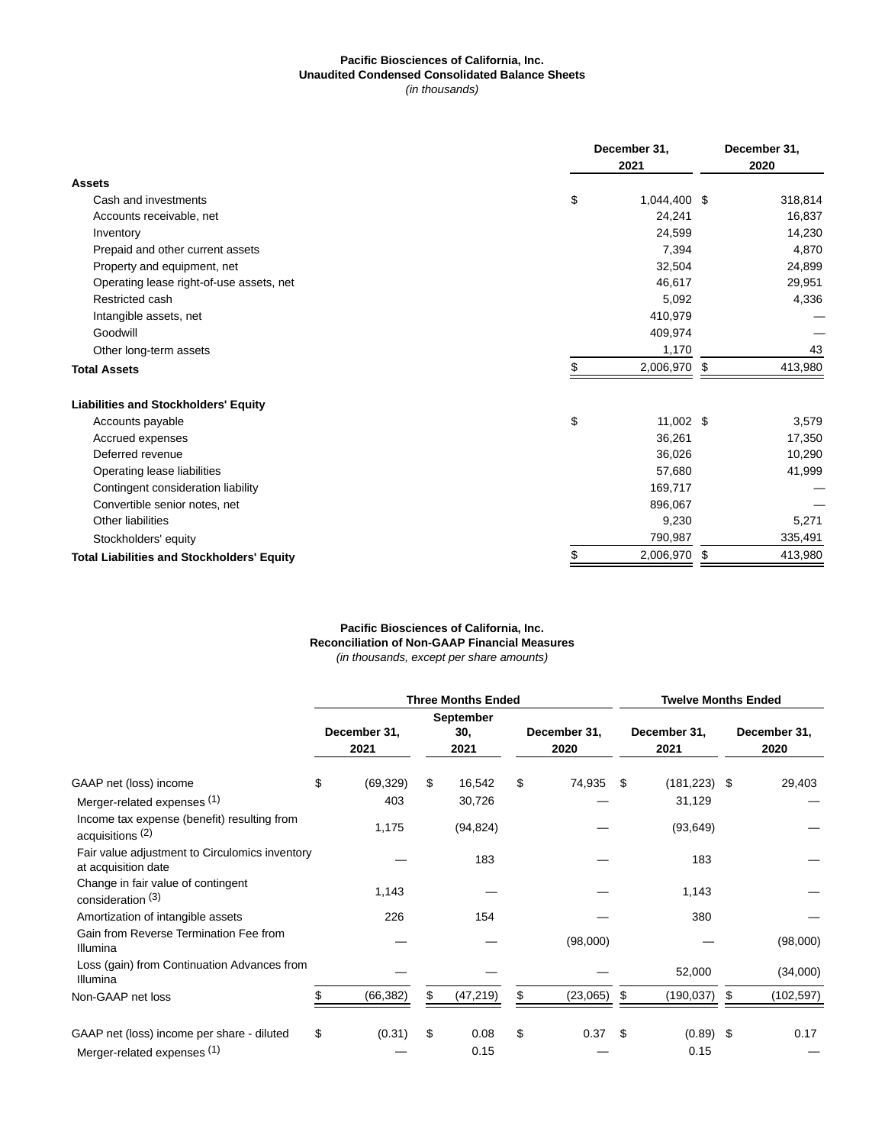## **Pacific Biosciences of California, Inc. Unaudited Condensed Consolidated Balance Sheets** (in thousands)

|                                                   | December 31, |              |    | December 31, |  |  |
|---------------------------------------------------|--------------|--------------|----|--------------|--|--|
|                                                   |              | 2020         |    |              |  |  |
| <b>Assets</b>                                     |              |              |    |              |  |  |
| Cash and investments                              | \$           | 1,044,400 \$ |    | 318,814      |  |  |
| Accounts receivable, net                          |              | 24,241       |    | 16,837       |  |  |
| Inventory                                         |              | 24,599       |    | 14,230       |  |  |
| Prepaid and other current assets                  |              | 7,394        |    | 4,870        |  |  |
| Property and equipment, net                       |              | 32,504       |    | 24,899       |  |  |
| Operating lease right-of-use assets, net          |              | 46,617       |    | 29,951       |  |  |
| Restricted cash                                   |              | 5,092        |    | 4,336        |  |  |
| Intangible assets, net                            |              | 410,979      |    |              |  |  |
| Goodwill                                          |              | 409,974      |    |              |  |  |
| Other long-term assets                            |              | 1,170        |    | 43           |  |  |
| <b>Total Assets</b>                               | \$           | 2,006,970    | \$ | 413,980      |  |  |
| <b>Liabilities and Stockholders' Equity</b>       |              |              |    |              |  |  |
| Accounts payable                                  | \$           | 11,002 \$    |    | 3,579        |  |  |
| Accrued expenses                                  |              | 36,261       |    | 17,350       |  |  |
| Deferred revenue                                  |              | 36,026       |    | 10,290       |  |  |
| Operating lease liabilities                       |              | 57,680       |    | 41,999       |  |  |
| Contingent consideration liability                |              | 169,717      |    |              |  |  |
| Convertible senior notes, net                     |              | 896,067      |    |              |  |  |
| Other liabilities                                 |              | 9,230        |    | 5,271        |  |  |
| Stockholders' equity                              |              | 790,987      |    | 335,491      |  |  |
| <b>Total Liabilities and Stockholders' Equity</b> | \$           | 2,006,970    | \$ | 413,980      |  |  |
|                                                   |              |              |    |              |  |  |

# **Pacific Biosciences of California, Inc. Reconciliation of Non-GAAP Financial Measures** (in thousands, except per share amounts)

|                                                                            | <b>Three Months Ended</b> |                      |    |                                 |    |                      | <b>Twelve Months Ended</b> |                      |    |                      |  |
|----------------------------------------------------------------------------|---------------------------|----------------------|----|---------------------------------|----|----------------------|----------------------------|----------------------|----|----------------------|--|
|                                                                            |                           | December 31,<br>2021 |    | <b>September</b><br>30,<br>2021 |    | December 31,<br>2020 |                            | December 31,<br>2021 |    | December 31,<br>2020 |  |
| GAAP net (loss) income                                                     | \$                        | (69, 329)            | \$ | 16,542                          | \$ | 74,935               | -\$                        | $(181, 223)$ \$      |    | 29,403               |  |
| Merger-related expenses (1)                                                |                           | 403                  |    | 30,726                          |    |                      |                            | 31,129               |    |                      |  |
| Income tax expense (benefit) resulting from<br>acquisitions <sup>(2)</sup> |                           | 1,175                |    | (94, 824)                       |    |                      |                            | (93, 649)            |    |                      |  |
| Fair value adjustment to Circulomics inventory<br>at acquisition date      |                           |                      |    | 183                             |    |                      |                            | 183                  |    |                      |  |
| Change in fair value of contingent<br>consideration <sup>(3)</sup>         |                           | 1,143                |    |                                 |    |                      |                            | 1,143                |    |                      |  |
| Amortization of intangible assets                                          |                           | 226                  |    | 154                             |    |                      |                            | 380                  |    |                      |  |
| Gain from Reverse Termination Fee from<br>Illumina                         |                           |                      |    |                                 |    | (98,000)             |                            |                      |    | (98,000)             |  |
| Loss (gain) from Continuation Advances from<br>Illumina                    |                           |                      |    |                                 |    |                      |                            | 52,000               |    | (34,000)             |  |
| Non-GAAP net loss                                                          |                           | (66, 382)            | \$ | (47, 219)                       | \$ | (23,065)             | \$.                        | (190, 037)           | \$ | (102, 597)           |  |
| GAAP net (loss) income per share - diluted                                 | \$                        | (0.31)               | \$ | 0.08                            | \$ | $0.37$ \$            |                            | $(0.89)$ \$          |    | 0.17                 |  |
| Merger-related expenses (1)                                                |                           |                      |    | 0.15                            |    |                      |                            | 0.15                 |    |                      |  |